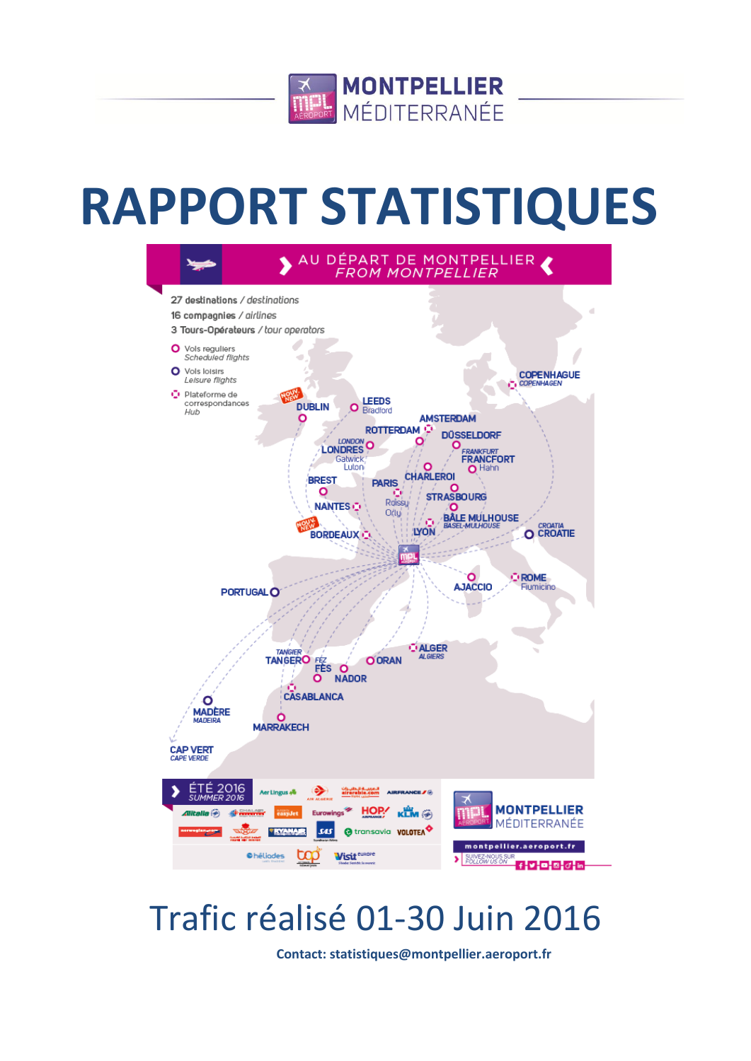

# **RAPPORT STATISTIQUES**



## Trafic réalisé 01-30 Juin 2016

**Contact: statistiques@montpellier.aeroport.fr**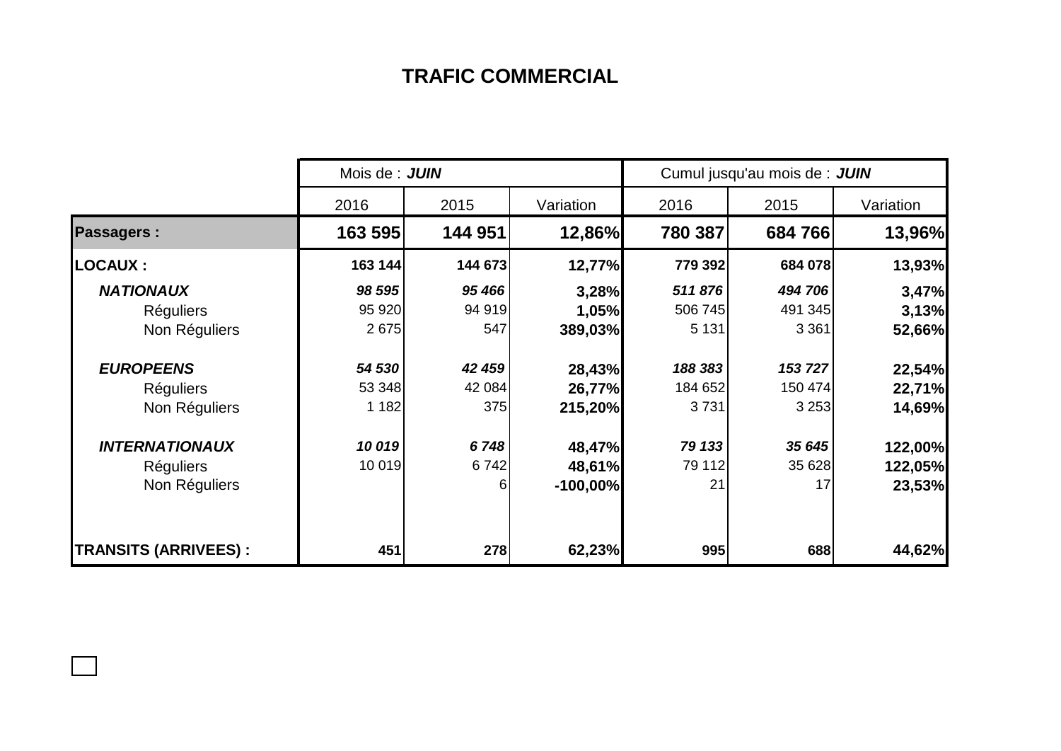## **TRAFIC COMMERCIAL**

|                              | Mois de : JUIN | Cumul jusqu'au mois de : JUIN |            |         |         |           |  |
|------------------------------|----------------|-------------------------------|------------|---------|---------|-----------|--|
|                              | 2016           | 2015                          | Variation  | 2016    | 2015    | Variation |  |
| <b>Passagers:</b>            | 163 595        | 144 951                       | 12,86%     | 780 387 | 684766  | 13,96%    |  |
| <b>LOCAUX :</b>              | 163 144        | 144 673                       | 12,77%     | 779 392 | 684 078 | 13,93%    |  |
| <b>NATIONAUX</b>             | 98 595         | 95 466                        | 3,28%      | 511876  | 494 706 | 3,47%     |  |
| <b>Réguliers</b>             | 95 920         | 94 919                        | 1,05%      | 506 745 | 491 345 | 3,13%     |  |
| Non Réguliers                | 2675           | 547                           | 389,03%    | 5 1 31  | 3 3 6 1 | 52,66%    |  |
| <b>EUROPEENS</b>             | 54 530         | 42 459                        | 28,43%     | 188 383 | 153 727 | 22,54%    |  |
| <b>Réguliers</b>             | 53 348         | 42 084                        | 26,77%     | 184 652 | 150 474 | 22,71%    |  |
| Non Réguliers                | 1 1 8 2        | 375                           | 215,20%    | 3731    | 3 2 5 3 | 14,69%    |  |
| <b>INTERNATIONAUX</b>        | 10019          | 6748                          | 48,47%     | 79 133  | 35 645  | 122,00%   |  |
| <b>Réguliers</b>             | 10 019         | 6742                          | 48,61%     | 79 112  | 35 628  | 122,05%   |  |
| Non Réguliers                |                | $6 \mid$                      | $-100,00%$ | 21      | 17      | 23,53%    |  |
| <b>TRANSITS (ARRIVEES) :</b> | 451            | 278                           | 62,23%     | 995     | 688     | 44,62%    |  |

 $\Box$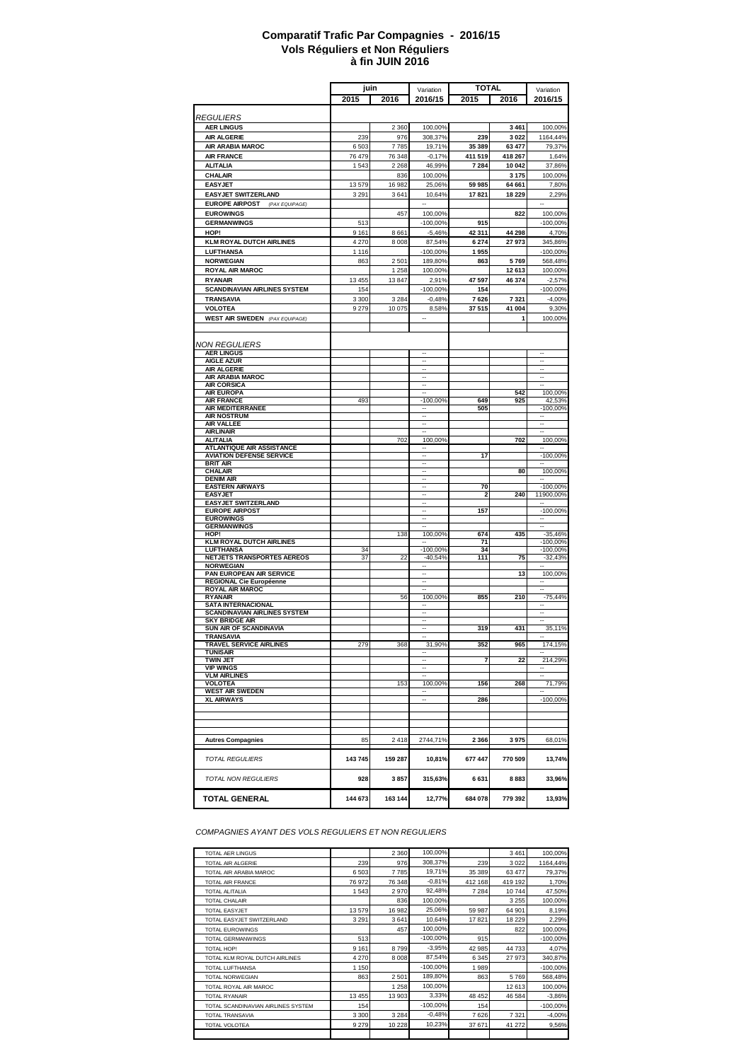#### **à fin JUIN 2016 Comparatif Trafic Par Compagnies - 2016/15 Vols Réguliers et Non Réguliers**

|                                                 | juin               |              | Variation                                            | <b>TOTAL</b>  |                    | Variation                           |
|-------------------------------------------------|--------------------|--------------|------------------------------------------------------|---------------|--------------------|-------------------------------------|
|                                                 | 2015               | 2016         | 2016/15                                              | 2015          | 2016               | 2016/15                             |
|                                                 |                    |              |                                                      |               |                    |                                     |
| <b>REGULIERS</b>                                |                    |              |                                                      |               |                    |                                     |
| <b>AER LINGUS</b><br><b>AIR ALGERIE</b>         | 239                | 2 3 6 0      | 100,00%                                              | 239           | 3 4 6 1<br>3 0 2 2 | 100,00%<br>1164,44%                 |
| AIR ARABIA MAROC                                | 6503               | 976<br>7785  | 308,37%<br>19,71%                                    | 35 389        | 63 477             | 79,37%                              |
| <b>AIR FRANCE</b>                               | 76479              | 76 348       | $-0,17%$                                             | 411 519       | 418 267            | 1,64%                               |
| <b>ALITALIA</b>                                 | 1543               | 2 2 6 8      | 46,99%                                               | 7 284         | 10 042             | 37,86%                              |
| <b>CHALAIR</b>                                  |                    | 836          | 100,00%                                              |               | 3 1 7 5            | 100,00%                             |
| <b>EASYJET</b>                                  | 13579              | 16982        | 25,06%                                               | 59 985        | 64 661             | 7,80%                               |
| <b>EASYJET SWITZERLAND</b>                      | 3 2 9 1            | 3641         | 10,64%                                               | 17821         | 18 229             | 2,29%                               |
| <b>EUROPE AIRPOST</b><br>(PAX EQUIPAGE)         |                    |              |                                                      |               |                    |                                     |
| <b>EUROWINGS</b>                                |                    | 457          | 100,00%                                              |               | 822                | 100,00%                             |
| <b>GERMANWINGS</b><br>HOP!                      | 513                |              | $-100,00%$<br>$-5,46%$                               | 915<br>42 311 |                    | $-100,00%$                          |
| <b>KLM ROYAL DUTCH AIRLINES</b>                 | 9 1 6 1<br>4 2 7 0 | 8661<br>8008 | 87,54%                                               | 6274          | 44 298<br>27 973   | 4,70%<br>345,86%                    |
| <b>LUFTHANSA</b>                                | 1116               |              | $-100,00%$                                           | 1955          |                    | $-100,00%$                          |
| <b>NORWEGIAN</b>                                | 863                | 2501         | 189,80%                                              | 863           | 5769               | 568,48%                             |
| <b>ROYAL AIR MAROC</b>                          |                    | 1 2 5 8      | 100,00%                                              |               | 12 613             | 100,00%                             |
| <b>RYANAIR</b>                                  | 13 4 55            | 13847        | 2,91%                                                | 47 597        | 46 374             | $-2,57%$                            |
| <b>SCANDINAVIAN AIRLINES SYSTEM</b>             | 154                |              | $-100,00%$                                           | 154           |                    | $-100,00%$                          |
| <b>TRANSAVIA</b>                                | 3 3 0 0            | 3 2 8 4      | $-0,48%$                                             | 7626          | 7 3 2 1            | $-4,00%$                            |
| <b>VOLOTEA</b>                                  | 9279               | 10 075       | 8,58%                                                | 37 515        | 41 004             | 9,30%                               |
| <b>WEST AIR SWEDEN</b> (PAX EQUIPAGE)           |                    |              |                                                      |               | 1                  | 100,00%                             |
|                                                 |                    |              |                                                      |               |                    |                                     |
| <b>NON REGULIERS</b>                            |                    |              |                                                      |               |                    |                                     |
| <b>AER LINGUS</b>                               |                    |              | $\overline{\phantom{a}}$                             |               |                    | $\ddotsc$                           |
| <b>AIGLE AZUR</b><br><b>AIR ALGERIE</b>         |                    |              | $\overline{\phantom{a}}$<br>$\ddot{\phantom{a}}$     |               |                    | $\overline{\phantom{a}}$<br>        |
| <b>AIR ARABIA MAROC</b>                         |                    |              | $\ddot{\phantom{a}}$                                 |               |                    | $\ddotsc$                           |
| <b>AIR CORSICA</b>                              |                    |              | Ξ.                                                   |               |                    |                                     |
| <b>AIR EUROPA</b><br><b>AIR FRANCE</b>          | 493                |              | $-100,00%$                                           | 649           | 542<br>925         | 100,00%<br>42,53%                   |
| AIR MEDITERRANEE                                |                    |              |                                                      | 505           |                    | $-100,00%$                          |
| <b>AIR NOSTRUM</b>                              |                    |              |                                                      |               |                    |                                     |
| AIR VALLEE                                      |                    |              |                                                      |               |                    |                                     |
| <b>AIRLINAIR</b><br><b>ALITALIA</b>             |                    | 702          | --<br>100,00%                                        |               | 702                | $\overline{\phantom{a}}$<br>100,00% |
| <b>ATLANTIQUE AIR ASSISTANCE</b>                |                    |              | --                                                   |               |                    | $\ddotsc$                           |
| <b>AVIATION DEFENSE SERVICE</b>                 |                    |              | $\overline{\phantom{a}}$<br>$\overline{\phantom{a}}$ | 17            |                    | $-100,00%$                          |
| <b>BRIT AIR</b><br><b>CHALAIR</b>               |                    |              | $\ddot{\phantom{a}}$                                 |               | 80                 | 100,00%                             |
| <b>DENIM AIR</b>                                |                    |              | $\overline{a}$                                       |               |                    |                                     |
| <b>EASTERN AIRWAYS</b>                          |                    |              | Ξ.<br>$\overline{\phantom{a}}$                       | 70            |                    | $-100,00%$                          |
| <b>EASYJET</b><br><b>EASYJET SWITZERLAND</b>    |                    |              |                                                      | 2             | 240                | 11900,00%                           |
| <b>EUROPE AIRPOST</b>                           |                    |              |                                                      | 157           |                    | $-100,00%$                          |
| <b>EUROWINGS</b>                                |                    |              |                                                      |               |                    |                                     |
| <b>GERMANWINGS</b><br>HOP!                      |                    | 138          | 100,00%                                              | 674           | 435                | $-35,46%$                           |
| <b>KLM ROYAL DUTCH AIRLINES</b>                 |                    |              | $\overline{\phantom{a}}$                             | 71            |                    | $-100,00%$                          |
| <b>LUFTHANSA</b>                                | 34                 |              | $-100,00%$                                           | 34            |                    | $-100,00%$                          |
| NETJETS TRANSPORTES AEREOS<br><b>NORWEGIAN</b>  | 37                 | 22           | $-40,54%$<br>Ξ.                                      | 111           | 75                 | $-32,43%$                           |
| PAN EUROPEAN AIR SERVICE                        |                    |              | $\ddot{\phantom{a}}$                                 |               | 13                 | 100,00%                             |
| <b>REGIONAL Cie Européenne</b>                  |                    |              |                                                      |               |                    |                                     |
| <b>ROYAL AIR MAROC</b><br><b>RYANAIR</b>        |                    | 56           | 100,00%                                              | 855           | 210                | $-75,44%$                           |
| <b>SATA INTERNACIONAL</b>                       |                    |              |                                                      |               |                    |                                     |
| <b>SCANDINAVIAN AIRLINES SYSTEM</b>             |                    |              |                                                      |               |                    |                                     |
| <b>SKY BRIDGE AIR</b><br>SUN AIR OF SCANDINAVIA |                    |              | --                                                   | 319           | 431                | 35,11%                              |
| TRANSAVIA                                       |                    |              | $\overline{\phantom{a}}$                             |               |                    | $\overline{\phantom{a}}$            |
| TRAVEL SERVICE AIRLINES                         | 279                | 368          | 31,90%                                               | 352           | 965                | 174,15%                             |
| TUNISAIR<br><b>TWIN JET</b>                     |                    |              |                                                      | 7             | 22                 | 214,29%                             |
| <b>VIP WINGS</b>                                |                    |              | $\overline{\phantom{a}}$                             |               |                    |                                     |
| <b>VLM AIRLINES</b>                             |                    |              |                                                      |               |                    |                                     |
| <b>VOLOTEA</b><br><b>WEST AIR SWEDEN</b>        |                    | 153          | 100,00%                                              | 156           | 268                | 71,79%                              |
| <b>XL AIRWAYS</b>                               |                    |              | $\overline{a}$                                       | 286           |                    | $-100,00%$                          |
|                                                 |                    |              |                                                      |               |                    |                                     |
|                                                 |                    |              |                                                      |               |                    |                                     |
|                                                 |                    |              |                                                      |               |                    |                                     |
| <b>Autres Compagnies</b>                        | 85                 | 2418         | 2744,71%                                             | 2 3 6 6       | 3975               | 68,01%                              |
|                                                 |                    |              |                                                      |               |                    |                                     |
| <b>TOTAL REGULIERS</b>                          | 143745             | 159 287      | 10,81%                                               | 677 447       | 770 509            | 13,74%                              |
| <b>TOTAL NON REGULIERS</b>                      | 928                | 3857         | 315,63%                                              | 6631          | 8883               | 33,96%                              |
| <b>TOTAL GENERAL</b>                            | 144 673            | 163 144      | 12,77%                                               | 684 078       | 779 392            | 13,93%                              |

*COMPAGNIES AYANT DES VOLS REGULIERS ET NON REGULIERS*

| <b>TOTAL AER LINGUS</b>            |         | 2 3 6 0 | 100,00%     |         | 3 4 6 1 | 100,00%    |
|------------------------------------|---------|---------|-------------|---------|---------|------------|
| TOTAL AIR ALGERIE                  | 239     | 976     | 308.37%     | 239     | 3022    | 1164,44%   |
| TOTAL AIR ARABIA MAROC             | 6503    | 7785    | 19,71%      | 35 389  | 63 477  | 79,37%     |
| TOTAL AIR FRANCE                   | 76972   | 76 348  | $-0,81%$    | 412 168 | 419 192 | 1,70%      |
| TOTAL ALITALIA                     | 1543    | 2970    | 92,48%      | 7 2 8 4 | 10744   | 47,50%     |
| <b>TOTAL CHALAIR</b>               |         | 836     | 100,00%     |         | 3 2 5 5 | 100,00%    |
| <b>TOTAL EASYJET</b>               | 13579   | 16982   | 25,06%      | 59 987  | 64 901  | 8,19%      |
| TOTAL EASYJET SWITZERLAND          | 3 2 9 1 | 3641    | 10,64%      | 17821   | 18 229  | 2,29%      |
| <b>TOTAL EUROWINGS</b>             |         | 457     | 100,00%     |         | 822     | 100,00%    |
| TOTAL GERMANWINGS                  | 513     |         | $-100.00\%$ | 915     |         | $-100,00%$ |
| TOTAL HOP!                         | 9 1 6 1 | 8799    | $-3,95%$    | 42 985  | 44733   | 4,07%      |
| TOTAL KLM ROYAL DUTCH AIRLINES     | 4 2 7 0 | 8008    | 87,54%      | 6 3 4 5 | 27973   | 340,87%    |
| TOTAL LUFTHANSA                    | 1 1 5 0 |         | $-100,00%$  | 1989    |         | $-100,00%$ |
| TOTAL NORWEGIAN                    | 863     | 2501    | 189,80%     | 863     | 5769    | 568,48%    |
| TOTAL ROYAL AIR MAROC              |         | 1 2 5 8 | 100,00%     |         | 12 613  | 100,00%    |
| <b>TOTAL RYANAIR</b>               | 13 4 55 | 13 903  | 3,33%       | 48 452  | 46 584  | $-3,86%$   |
| TOTAL SCANDINAVIAN AIRLINES SYSTEM | 154     |         | $-100,00%$  | 154     |         | $-100,00%$ |
| <b>TOTAL TRANSAVIA</b>             | 3 3 0 0 | 3 2 8 4 | $-0.48%$    | 7626    | 7 3 2 1 | $-4,00%$   |
| TOTAL VOLOTEA                      | 9279    | 10 228  | 10,23%      | 37 671  | 41 272  | 9,56%      |
|                                    |         |         |             |         |         |            |
|                                    |         |         |             |         |         |            |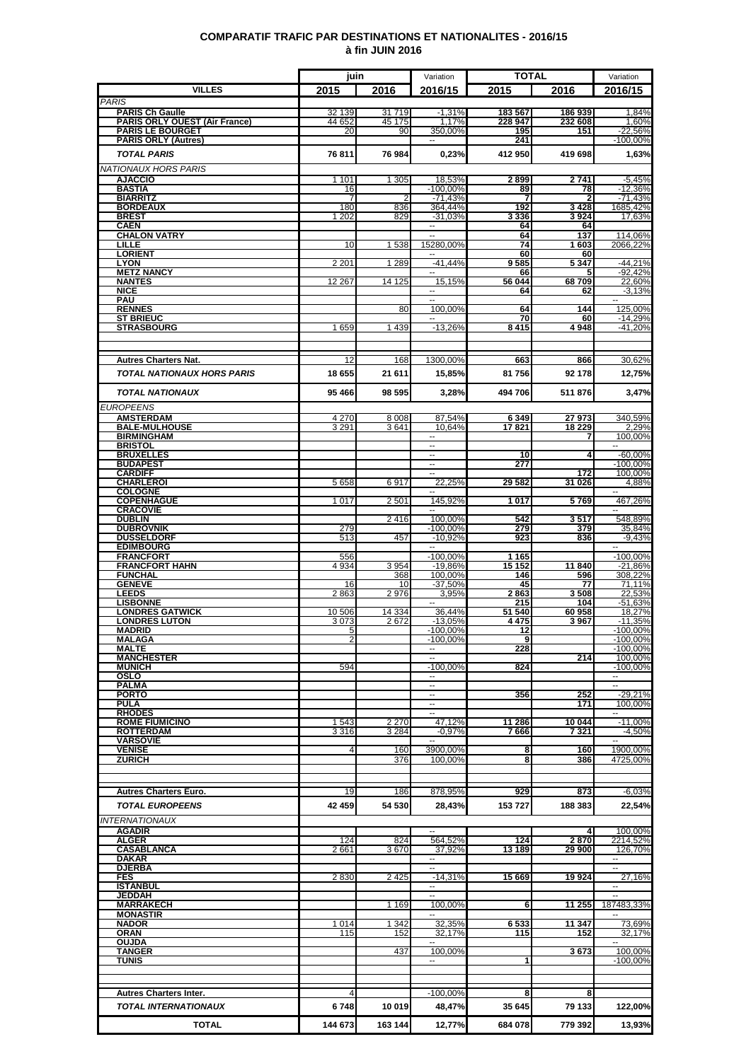### **COMPARATIF TRAFIC PAR DESTINATIONS ET NATIONALITES - 2016/15 à fin JUIN 2016**

|                                                       | juin                    |                    | Variation                                            | <b>TOTAL</b>    |                        | Variation                |
|-------------------------------------------------------|-------------------------|--------------------|------------------------------------------------------|-----------------|------------------------|--------------------------|
| <b>VILLES</b>                                         | 2015                    | 2016               | 2016/15                                              | 2015            | 2016                   | 2016/15                  |
| <b>PARIS</b><br><b>PARIS Ch Gaulle</b>                | 32 139                  | 31719              | $-1,31%$                                             | 183 567         | 186 939                | 1,84%                    |
| <b>PARIS ORLY OUEST (Air France)</b>                  | 44 652                  | 45 175             | 1.17%                                                | 228 947         | 232 608                | 1,60%                    |
| <b>PARIS LE BOURGET</b><br><b>PARIS ORLY (Autres)</b> | 20                      | 90                 | 350,00%<br>$\overline{a}$                            | 195<br>241      | 151                    | $-22,56%$<br>$-100,00%$  |
| <b>TOTAL PARIS</b>                                    | 76811                   | 76 984             | 0,23%                                                | 412950          | 419 698                | 1,63%                    |
| NATIONAUX HORS PARIS                                  |                         |                    |                                                      |                 |                        |                          |
| <b>AJACCIO</b>                                        | 1 1 0 1                 | 1 3 0 5            | 18,53%                                               | 2899            | 2741                   | $-5,45%$                 |
| BASTIA                                                | 16                      |                    | $-100,00%$                                           | 89<br>7         | 78                     | $-12,36%$                |
| <b>BIARRITZ</b><br><b>BORDEAUX</b>                    | 7<br>180                | 2<br>836           | $-71,43%$<br>364,44%                                 | 192             | $\overline{2}$<br>3428 | $-71,43%$<br>1685,42%    |
| <b>BREST</b>                                          | 1 202                   | 829                | $-31.03%$                                            | 3 3 3 6         | 3924                   | 17,63%                   |
| <b>CAEN</b><br><b>CHALON VATRY</b>                    |                         |                    | $\overline{\phantom{a}}$                             | 64<br>64        | 64<br>137              | 114,06%                  |
| LILLE                                                 | 10                      | 1 5 3 8            | 15280,00%                                            | 74              | 1603                   | 2066,22%                 |
| <b>LORIENT</b><br><b>LYON</b>                         | 2 2 0 1                 | 1 2 8 9            | $\overline{\phantom{a}}$<br>$-41,44%$                | 60<br>9585      | 60<br>5 3 4 7          | $-44,21%$                |
| <b>METZ NANCY</b>                                     |                         |                    | --                                                   | 66              | 5                      | $-92,42%$                |
| <b>NANTES</b><br><b>NICE</b>                          | 12 267                  | 14 125             | 15,15%<br>--                                         | 56 044<br>64    | 68709<br>62            | 22,60%<br>$-3,13%$       |
| PAU                                                   |                         |                    | Ξ                                                    |                 |                        | $\sim$                   |
| <b>RENNES</b><br><b>ST BRIEUC</b>                     |                         | 80                 | 100,00%<br>$\overline{a}$                            | 64<br>70        | 144<br>60              | 125,00%<br>$-14,29%$     |
| <b>STRASBOURG</b>                                     | 1659                    | 1439               | $-13,26%$                                            | 8415            | 4948                   | $-41,20%$                |
|                                                       |                         |                    |                                                      |                 |                        |                          |
| <b>Autres Charters Nat.</b>                           | 12                      | 168                | 1300,00%                                             | 663             | 866                    | 30,62%                   |
|                                                       |                         |                    |                                                      |                 |                        |                          |
| <b>TOTAL NATIONAUX HORS PARIS</b>                     | 18 655                  | 21 611             | 15,85%                                               | 81756           | 92 178                 | 12,75%                   |
| <b>TOTAL NATIONAUX</b>                                | 95 466                  | 98 595             | 3.28%                                                | 494 706         | 511876                 | 3,47%                    |
| <b>EUROPEENS</b>                                      |                         |                    |                                                      |                 |                        |                          |
| <b>AMSTERDAM</b>                                      | 4 2 7 0                 | 8 0 0 8            | 87,54%                                               | 6 3 4 9         | 27973                  | 340,59%                  |
| <b>BALE-MULHOUSE</b><br><b>BIRMINGHAM</b>             | 3 2 9 1                 | 3641               | 10,64%                                               | 17821           | 18 229<br>7            | 2,29%<br>100,00%         |
| <b>BRISTOL</b>                                        |                         |                    |                                                      |                 |                        |                          |
| <b>BRUXELLES</b><br><b>BUDAPEST</b>                   |                         |                    | $\overline{\phantom{a}}$<br>$\overline{\phantom{a}}$ | 10<br>277       | 4                      | $-60,00%$<br>$-100,00\%$ |
| <b>CARDIFF</b>                                        |                         |                    | Ξ.                                                   |                 | 172                    | 100,00%                  |
| <b>CHARLEROI</b><br><b>COLOGNE</b>                    | 5 6 5 8                 | 6917               | 22,25%<br>۰.                                         | 29 582          | 31 026                 | 4,88%<br>$\sim$ $\sim$   |
| <b>COPENHAGUE</b>                                     | 1 0 1 7                 | 2 5 0 1            | 145,92%                                              | 1017            | 5769                   | 467,26%                  |
| <b>CRACOVIE</b><br><b>DUBLIN</b>                      |                         |                    |                                                      | 542             |                        | 548,89%                  |
| <b>DUBROVNIK</b>                                      | 279                     | 2416               | 100,00%<br>$-100,00%$                                | 279             | 3517<br>379            | 35,84%                   |
| <b>DUSSELDORF</b>                                     | 513                     | 457                | $-10,92%$                                            | 923             | 836                    | $-9,43%$                 |
| <b>EDIMBOURG</b><br><b>FRANCFORT</b>                  | 556                     |                    | $-100,00%$                                           | 1 1 6 5         |                        | $-100,00%$               |
| <b>FRANCFORT HAHN</b>                                 | 4 9 34                  | 3 9 5 4            | $-19.86%$                                            | 15 152          | 11 840                 | $-21,86%$                |
| <b>FUNCHAL</b><br><b>GENEVE</b>                       | 16                      | 368<br>10          | 100.00%<br>$-37,50%$                                 | 146<br>45       | 596<br>77              | 308,22%<br>71,11%        |
| <b>LEEDS</b>                                          | 2863                    | 2976               | 3,95%                                                | 2863            | 3508                   | 22,53%                   |
| <b>LISBONNE</b><br><b>LONDRES GATWICK</b>             | 10 506                  | 14 3 34            | 36,44%                                               | 215<br>51 540   | 104<br>60 958          | $-51,63%$<br>18.27%      |
| <b>LONDRES LUTON</b>                                  | 3073                    | 2672               | $-13,05%$                                            | 4475            | 3967                   | $-11.35%$                |
| <b>MADRID</b><br><b>MALAGA</b>                        | 5<br>2                  |                    | $-100,00%$<br>$-100,00%$                             | 12<br>9         |                        | $-100,00%$<br>$-100,00%$ |
| <b>MALTE</b>                                          |                         |                    |                                                      | 228             |                        | $-100,00%$               |
| <b>MANCHESTER</b><br><b>MUNICH</b>                    | 594                     |                    | --<br>$-100.00\%$                                    | 824             | 214                    | 100,00%<br>$-100,00%$    |
| OSLO                                                  |                         |                    | $\overline{\phantom{a}}$                             |                 |                        | 44                       |
| <b>PALMA</b>                                          |                         |                    | $\overline{\phantom{a}}$<br>$\overline{\phantom{a}}$ |                 |                        | $\sim$ $\sim$            |
| <b>PORTO</b><br><b>PULA</b>                           |                         |                    | H                                                    | 356             | 252<br>171             | $-29,21%$<br>100,00%     |
| <b>RHODES</b>                                         |                         |                    | $\sim$                                               |                 |                        | $\sim$                   |
| <b>ROME FIUMICINO</b><br><b>ROTTERDAM</b>             | 1543<br>3316            | 2 2 7 0<br>3 2 8 4 | 47,12%<br>$-0.97%$                                   | 11 286<br>7 666 | 10 044<br>7321         | $-11,00%$<br>$-4,50%$    |
| <b>VARSOVIE</b>                                       |                         |                    |                                                      |                 |                        |                          |
| <b>VENISE</b><br><b>ZURICH</b>                        | $\overline{\mathbf{4}}$ | 160<br>376         | 3900,00%<br>100,00%                                  | 8<br>8          | 160<br>386             | 1900,00%<br>4725,00%     |
|                                                       |                         |                    |                                                      |                 |                        |                          |
|                                                       |                         |                    |                                                      |                 |                        |                          |
| <b>Autres Charters Euro.</b>                          | 19                      | 186                | 878,95%                                              | 929             | 873                    | $-6,03%$                 |
| <b>TOTAL EUROPEENS</b>                                | 42 459                  | 54 530             | 28,43%                                               | 153 727         | 188 383                | 22,54%                   |
| <b>INTERNATIONAUX</b>                                 |                         |                    |                                                      |                 |                        |                          |
| <u>AGADIR</u><br><b>ALGER</b>                         | 124                     | 824                | 564,52%                                              | 124             | 2870                   | 100,00%<br>2214,52%      |
| CASABLANCA                                            | 2661                    | 3670               | 37.92%                                               | 13 189          | 29 900                 | 126,70%                  |
| DAKAR<br><b>DJERBA</b>                                |                         |                    | $\overline{\phantom{a}}$<br>L.                       |                 |                        | 44<br>$\sim$             |
| <b>FES</b>                                            | 2830                    | 2 4 2 5            | $-14,31%$                                            | 15 669          | 19924                  | 27,16%                   |
| <b>ISTANBUL</b><br><b>JEDDAH</b>                      |                         |                    | $\overline{\phantom{a}}$<br>--                       |                 |                        | $\sim$ $\sim$            |
| <b>MARRAKECH</b>                                      |                         | 1 1 6 9            | 100,00%                                              | 6               | 11 255                 | 187483,33%               |
| <b>MONASTIR</b>                                       |                         |                    |                                                      |                 |                        |                          |
| <b>NADOR</b><br>ORAN                                  | 1014<br>115             | 1 3 4 2<br>152     | 32,35%<br>32,17%                                     | 6 533<br>115    | 11 347<br>152          | 73,69%<br>32,17%         |
| <b>OUJDA</b>                                          |                         |                    | $\sim$                                               |                 |                        | $\sim$                   |
| <b>TANGER</b><br>TUNIS                                |                         | 437                | 100,00%<br>۰.                                        | 1               | 3673                   | 100,00%<br>$-100,00%$    |
|                                                       |                         |                    |                                                      |                 |                        |                          |
|                                                       |                         |                    |                                                      |                 |                        |                          |
| <b>Autres Charters Inter.</b>                         | 4                       |                    | $-100,00%$                                           | 8               | 8                      |                          |
| TOTAL INTERNATIONAUX                                  | 6748                    | 10 019             | 48,47%                                               | 35 645          | 79 133                 | 122,00%                  |
| <b>TOTAL</b>                                          | 144 673                 | 163 144            | 12,77%                                               | 684 078         | 779 392                | 13,93%                   |